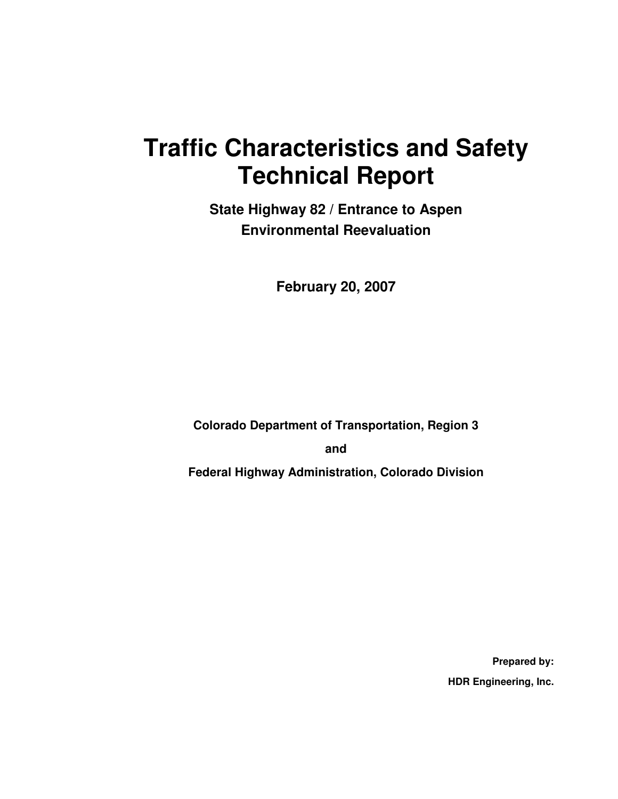# **Traffic Characteristics and Safety Technical Report**

**State Highway 82 / Entrance to Aspen Environmental Reevaluation** 

**February 20, 2007** 

**Colorado Department of Transportation, Region 3 and Federal Highway Administration, Colorado Division** 

> **Prepared by: HDR Engineering, Inc.**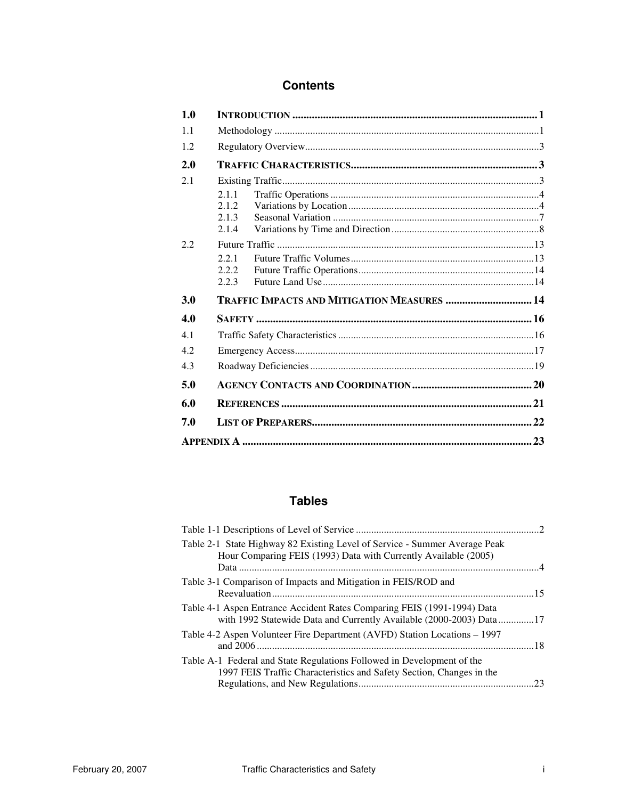#### **Contents**

| 1.0  |                         |                                             |  |
|------|-------------------------|---------------------------------------------|--|
| 1.1  |                         |                                             |  |
| 1.2  |                         |                                             |  |
| 2.0  |                         |                                             |  |
| 2.1  | 2.1.1<br>2.1.2<br>2.1.3 |                                             |  |
|      | 2.1.4                   |                                             |  |
| 2.2. |                         |                                             |  |
|      | 2.2.1<br>2.2.2<br>2.2.3 |                                             |  |
| 3.0  |                         | TRAFFIC IMPACTS AND MITIGATION MEASURES  14 |  |
| 4.0  |                         |                                             |  |
| 4.1  |                         |                                             |  |
| 4.2  |                         |                                             |  |
| 4.3  |                         |                                             |  |
| 5.0  |                         |                                             |  |
| 6.0  |                         |                                             |  |
| 7.0  |                         |                                             |  |
|      |                         |                                             |  |
|      |                         |                                             |  |

#### **Tables**

| Table 2-1 State Highway 82 Existing Level of Service - Summer Average Peak<br>Hour Comparing FEIS (1993) Data with Currently Available (2005)   |  |
|-------------------------------------------------------------------------------------------------------------------------------------------------|--|
| Table 3-1 Comparison of Impacts and Mitigation in FEIS/ROD and                                                                                  |  |
| Table 4-1 Aspen Entrance Accident Rates Comparing FEIS (1991-1994) Data<br>with 1992 Statewide Data and Currently Available (2000-2003) Data 17 |  |
| Table 4-2 Aspen Volunteer Fire Department (AVFD) Station Locations – 1997                                                                       |  |
| Table A-1 Federal and State Regulations Followed in Development of the<br>1997 FEIS Traffic Characteristics and Safety Section, Changes in the  |  |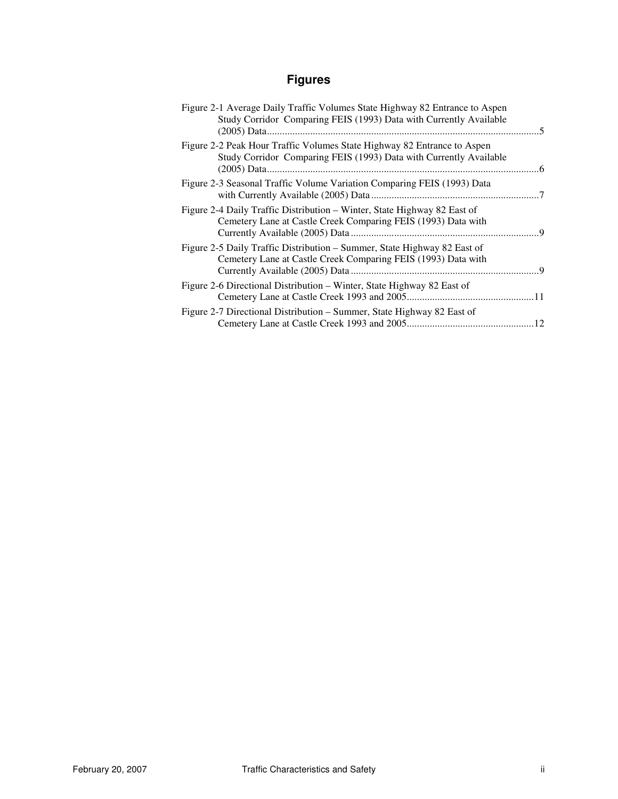### **Figures**

| Figure 2-1 Average Daily Traffic Volumes State Highway 82 Entrance to Aspen<br>Study Corridor Comparing FEIS (1993) Data with Currently Available |  |
|---------------------------------------------------------------------------------------------------------------------------------------------------|--|
| Figure 2-2 Peak Hour Traffic Volumes State Highway 82 Entrance to Aspen<br>Study Corridor Comparing FEIS (1993) Data with Currently Available     |  |
| Figure 2-3 Seasonal Traffic Volume Variation Comparing FEIS (1993) Data                                                                           |  |
| Figure 2-4 Daily Traffic Distribution – Winter, State Highway 82 East of<br>Cemetery Lane at Castle Creek Comparing FEIS (1993) Data with         |  |
| Figure 2-5 Daily Traffic Distribution – Summer, State Highway 82 East of<br>Cemetery Lane at Castle Creek Comparing FEIS (1993) Data with         |  |
| Figure 2-6 Directional Distribution – Winter, State Highway 82 East of                                                                            |  |
| Figure 2-7 Directional Distribution – Summer, State Highway 82 East of                                                                            |  |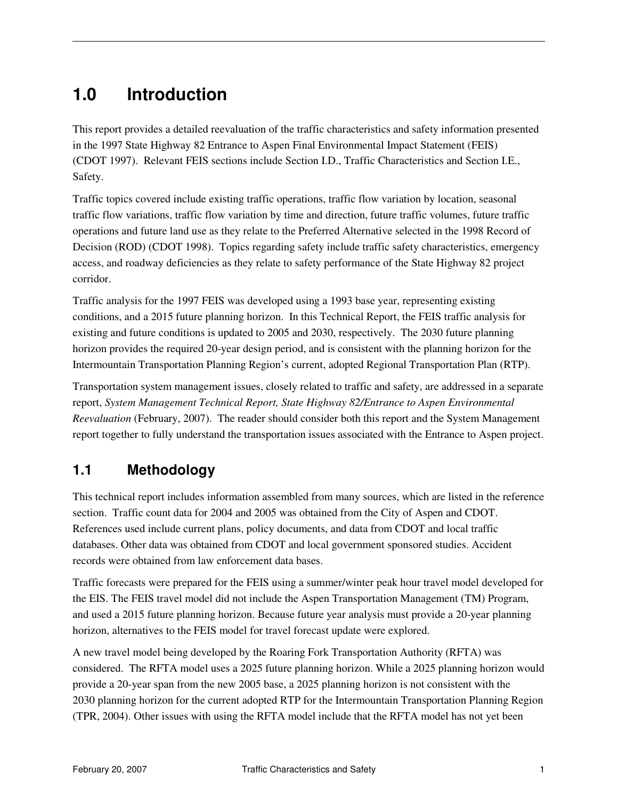## **1.0 Introduction**

This report provides a detailed reevaluation of the traffic characteristics and safety information presented in the 1997 State Highway 82 Entrance to Aspen Final Environmental Impact Statement (FEIS) (CDOT 1997). Relevant FEIS sections include Section I.D., Traffic Characteristics and Section I.E., Safety.

Traffic topics covered include existing traffic operations, traffic flow variation by location, seasonal traffic flow variations, traffic flow variation by time and direction, future traffic volumes, future traffic operations and future land use as they relate to the Preferred Alternative selected in the 1998 Record of Decision (ROD) (CDOT 1998). Topics regarding safety include traffic safety characteristics, emergency access, and roadway deficiencies as they relate to safety performance of the State Highway 82 project corridor.

Traffic analysis for the 1997 FEIS was developed using a 1993 base year, representing existing conditions, and a 2015 future planning horizon. In this Technical Report, the FEIS traffic analysis for existing and future conditions is updated to 2005 and 2030, respectively. The 2030 future planning horizon provides the required 20-year design period, and is consistent with the planning horizon for the Intermountain Transportation Planning Region's current, adopted Regional Transportation Plan (RTP).

Transportation system management issues, closely related to traffic and safety, are addressed in a separate report, *System Management Technical Report, State Highway 82/Entrance to Aspen Environmental Reevaluation* (February, 2007). The reader should consider both this report and the System Management report together to fully understand the transportation issues associated with the Entrance to Aspen project.

### **1.1 Methodology**

This technical report includes information assembled from many sources, which are listed in the reference section. Traffic count data for 2004 and 2005 was obtained from the City of Aspen and CDOT. References used include current plans, policy documents, and data from CDOT and local traffic databases. Other data was obtained from CDOT and local government sponsored studies. Accident records were obtained from law enforcement data bases.

Traffic forecasts were prepared for the FEIS using a summer/winter peak hour travel model developed for the EIS. The FEIS travel model did not include the Aspen Transportation Management (TM) Program, and used a 2015 future planning horizon. Because future year analysis must provide a 20-year planning horizon, alternatives to the FEIS model for travel forecast update were explored.

A new travel model being developed by the Roaring Fork Transportation Authority (RFTA) was considered. The RFTA model uses a 2025 future planning horizon. While a 2025 planning horizon would provide a 20-year span from the new 2005 base, a 2025 planning horizon is not consistent with the 2030 planning horizon for the current adopted RTP for the Intermountain Transportation Planning Region (TPR, 2004). Other issues with using the RFTA model include that the RFTA model has not yet been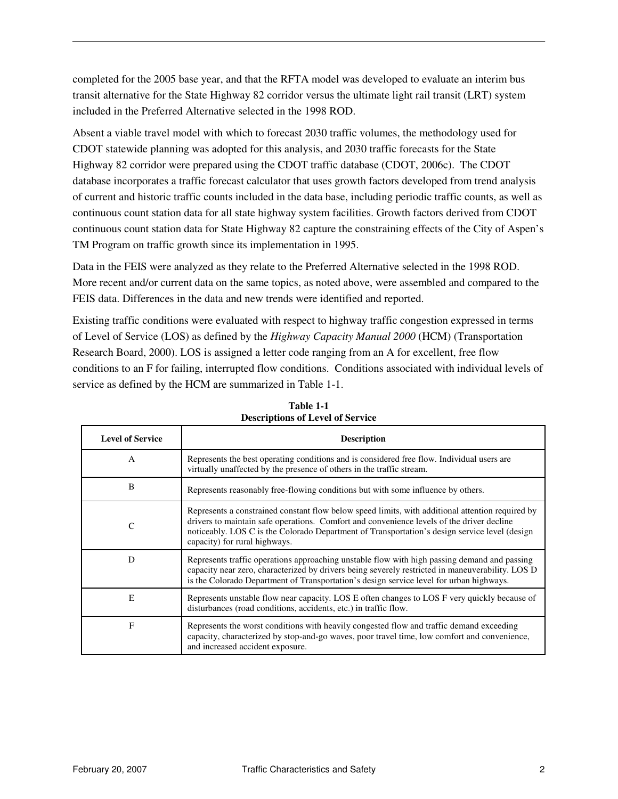completed for the 2005 base year, and that the RFTA model was developed to evaluate an interim bus transit alternative for the State Highway 82 corridor versus the ultimate light rail transit (LRT) system included in the Preferred Alternative selected in the 1998 ROD.

Absent a viable travel model with which to forecast 2030 traffic volumes, the methodology used for CDOT statewide planning was adopted for this analysis, and 2030 traffic forecasts for the State Highway 82 corridor were prepared using the CDOT traffic database (CDOT, 2006c). The CDOT database incorporates a traffic forecast calculator that uses growth factors developed from trend analysis of current and historic traffic counts included in the data base, including periodic traffic counts, as well as continuous count station data for all state highway system facilities. Growth factors derived from CDOT continuous count station data for State Highway 82 capture the constraining effects of the City of Aspen's TM Program on traffic growth since its implementation in 1995.

Data in the FEIS were analyzed as they relate to the Preferred Alternative selected in the 1998 ROD. More recent and/or current data on the same topics, as noted above, were assembled and compared to the FEIS data. Differences in the data and new trends were identified and reported.

Existing traffic conditions were evaluated with respect to highway traffic congestion expressed in terms of Level of Service (LOS) as defined by the *Highway Capacity Manual 2000* (HCM) (Transportation Research Board, 2000). LOS is assigned a letter code ranging from an A for excellent, free flow conditions to an F for failing, interrupted flow conditions. Conditions associated with individual levels of service as defined by the HCM are summarized in Table 1-1.

| <b>Level of Service</b> | <b>Description</b>                                                                                                                                                                                                                                                                                                              |  |  |
|-------------------------|---------------------------------------------------------------------------------------------------------------------------------------------------------------------------------------------------------------------------------------------------------------------------------------------------------------------------------|--|--|
| A                       | Represents the best operating conditions and is considered free flow. Individual users are<br>virtually unaffected by the presence of others in the traffic stream.                                                                                                                                                             |  |  |
| B                       | Represents reasonably free-flowing conditions but with some influence by others.                                                                                                                                                                                                                                                |  |  |
| $\mathcal{C}$           | Represents a constrained constant flow below speed limits, with additional attention required by<br>drivers to maintain safe operations. Comfort and convenience levels of the driver decline<br>noticeably. LOS C is the Colorado Department of Transportation's design service level (design<br>capacity) for rural highways. |  |  |
| D                       | Represents traffic operations approaching unstable flow with high passing demand and passing<br>capacity near zero, characterized by drivers being severely restricted in maneuverability. LOS D<br>is the Colorado Department of Transportation's design service level for urban highways.                                     |  |  |
| Е                       | Represents unstable flow near capacity. LOS E often changes to LOS F very quickly because of<br>disturbances (road conditions, accidents, etc.) in traffic flow.                                                                                                                                                                |  |  |
| F                       | Represents the worst conditions with heavily congested flow and traffic demand exceeding<br>capacity, characterized by stop-and-go waves, poor travel time, low comfort and convenience,<br>and increased accident exposure.                                                                                                    |  |  |

**Table 1-1 Descriptions of Level of Service**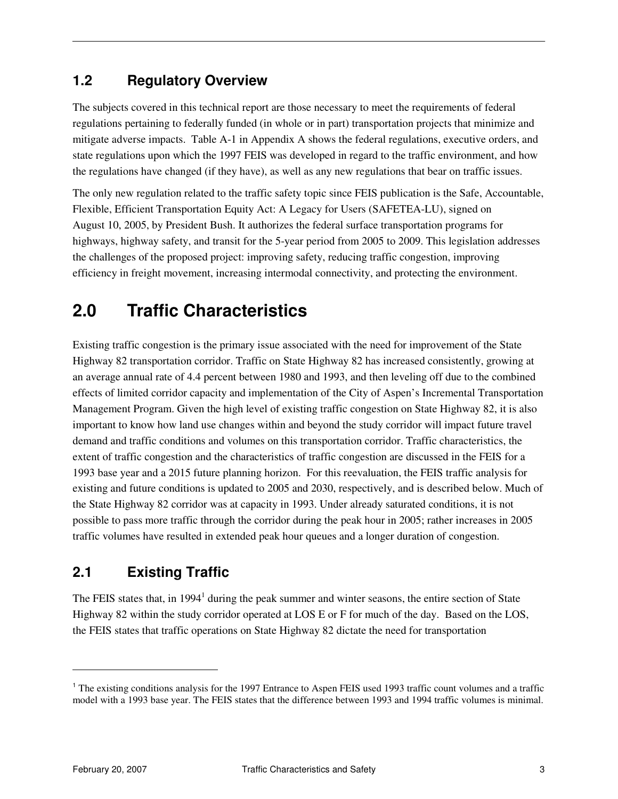### **1.2 Regulatory Overview**

The subjects covered in this technical report are those necessary to meet the requirements of federal regulations pertaining to federally funded (in whole or in part) transportation projects that minimize and mitigate adverse impacts. Table A-1 in Appendix A shows the federal regulations, executive orders, and state regulations upon which the 1997 FEIS was developed in regard to the traffic environment, and how the regulations have changed (if they have), as well as any new regulations that bear on traffic issues.

The only new regulation related to the traffic safety topic since FEIS publication is the Safe, Accountable, Flexible, Efficient Transportation Equity Act: A Legacy for Users (SAFETEA-LU), signed on August 10, 2005, by President Bush. It authorizes the federal surface transportation programs for highways, highway safety, and transit for the 5-year period from 2005 to 2009. This legislation addresses the challenges of the proposed project: improving safety, reducing traffic congestion, improving efficiency in freight movement, increasing intermodal connectivity, and protecting the environment.

## **2.0 Traffic Characteristics**

Existing traffic congestion is the primary issue associated with the need for improvement of the State Highway 82 transportation corridor. Traffic on State Highway 82 has increased consistently, growing at an average annual rate of 4.4 percent between 1980 and 1993, and then leveling off due to the combined effects of limited corridor capacity and implementation of the City of Aspen's Incremental Transportation Management Program. Given the high level of existing traffic congestion on State Highway 82, it is also important to know how land use changes within and beyond the study corridor will impact future travel demand and traffic conditions and volumes on this transportation corridor. Traffic characteristics, the extent of traffic congestion and the characteristics of traffic congestion are discussed in the FEIS for a 1993 base year and a 2015 future planning horizon. For this reevaluation, the FEIS traffic analysis for existing and future conditions is updated to 2005 and 2030, respectively, and is described below. Much of the State Highway 82 corridor was at capacity in 1993. Under already saturated conditions, it is not possible to pass more traffic through the corridor during the peak hour in 2005; rather increases in 2005 traffic volumes have resulted in extended peak hour queues and a longer duration of congestion.

### **2.1 Existing Traffic**

The FEIS states that, in 1994<sup>1</sup> during the peak summer and winter seasons, the entire section of State Highway 82 within the study corridor operated at LOS E or F for much of the day. Based on the LOS, the FEIS states that traffic operations on State Highway 82 dictate the need for transportation

 $\overline{a}$ 

<sup>&</sup>lt;sup>1</sup> The existing conditions analysis for the 1997 Entrance to Aspen FEIS used 1993 traffic count volumes and a traffic model with a 1993 base year. The FEIS states that the difference between 1993 and 1994 traffic volumes is minimal.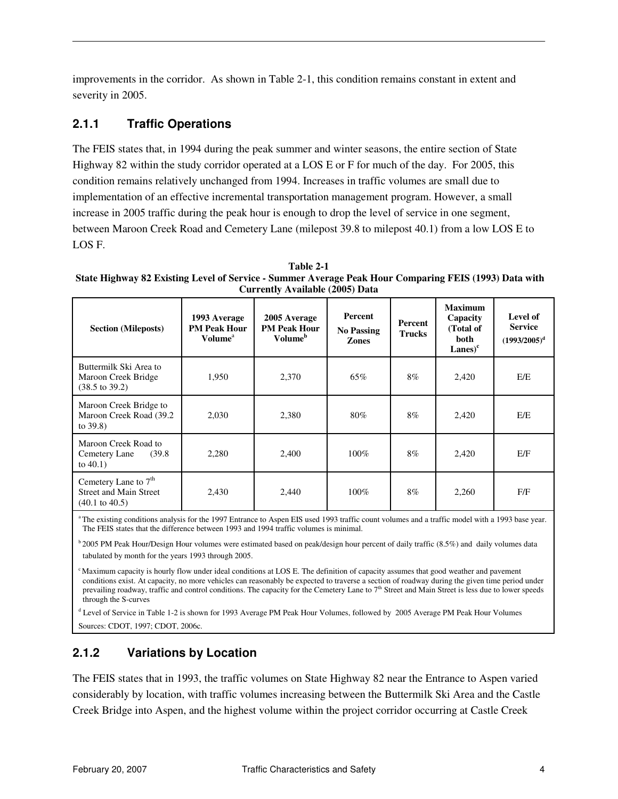improvements in the corridor. As shown in Table 2-1, this condition remains constant in extent and severity in 2005.

#### **2.1.1 Traffic Operations**

The FEIS states that, in 1994 during the peak summer and winter seasons, the entire section of State Highway 82 within the study corridor operated at a LOS E or F for much of the day. For 2005, this condition remains relatively unchanged from 1994. Increases in traffic volumes are small due to implementation of an effective incremental transportation management program. However, a small increase in 2005 traffic during the peak hour is enough to drop the level of service in one segment, between Maroon Creek Road and Cemetery Lane (milepost 39.8 to milepost 40.1) from a low LOS E to LOS F.

**Table 2-1 State Highway 82 Existing Level of Service - Summer Average Peak Hour Comparing FEIS (1993) Data with Currently Available (2005) Data** 

| <b>Section</b> (Mileposts)                                                           | 1993 Average<br><b>PM Peak Hour</b><br>Volume <sup>a</sup> | 2005 Average<br><b>PM Peak Hour</b><br>Volume <sup>b</sup> | <b>Percent</b><br><b>No Passing</b><br><b>Zones</b> | Percent<br><b>Trucks</b> | <b>Maximum</b><br>Capacity<br>(Total of<br><b>both</b><br>$Lanes)^c$ | Level of<br><b>Service</b><br>$(1993/2005)^d$ |
|--------------------------------------------------------------------------------------|------------------------------------------------------------|------------------------------------------------------------|-----------------------------------------------------|--------------------------|----------------------------------------------------------------------|-----------------------------------------------|
| Buttermilk Ski Area to<br>Maroon Creek Bridge<br>$(38.5 \text{ to } 39.2)$           | 1,950                                                      | 2,370                                                      | 65%                                                 | 8%                       | 2,420                                                                | E/E                                           |
| Maroon Creek Bridge to<br>Maroon Creek Road (39.2)<br>to $39.8$ )                    | 2,030                                                      | 2,380                                                      | 80%                                                 | 8%                       | 2,420                                                                | E/E                                           |
| Maroon Creek Road to<br>Cemetery Lane<br>(39.8)<br>to $40.1$ )                       | 2,280                                                      | 2,400                                                      | $100\%$                                             | 8%                       | 2,420                                                                | E/F                                           |
| Cemetery Lane to $7th$<br><b>Street and Main Street</b><br>$(40.1 \text{ to } 40.5)$ | 2,430                                                      | 2,440                                                      | $100\%$                                             | 8%                       | 2,260                                                                | F/F                                           |

<sup>a</sup>The existing conditions analysis for the 1997 Entrance to Aspen EIS used 1993 traffic count volumes and a traffic model with a 1993 base year. The FEIS states that the difference between 1993 and 1994 traffic volumes is minimal.

<sup>b</sup> 2005 PM Peak Hour/Design Hour volumes were estimated based on peak/design hour percent of daily traffic (8.5%) and daily volumes data tabulated by month for the years 1993 through 2005.

Maximum capacity is hourly flow under ideal conditions at LOS E. The definition of capacity assumes that good weather and pavement conditions exist. At capacity, no more vehicles can reasonably be expected to traverse a section of roadway during the given time period under prevailing roadway, traffic and control conditions. The capacity for the Cemetery Lane to 7<sup>th</sup> Street and Main Street is less due to lower speeds through the S-curves

<sup>d</sup> Level of Service in Table 1-2 is shown for 1993 Average PM Peak Hour Volumes, followed by 2005 Average PM Peak Hour Volumes Sources: CDOT, 1997; CDOT, 2006c.

#### **2.1.2 Variations by Location**

The FEIS states that in 1993, the traffic volumes on State Highway 82 near the Entrance to Aspen varied considerably by location, with traffic volumes increasing between the Buttermilk Ski Area and the Castle Creek Bridge into Aspen, and the highest volume within the project corridor occurring at Castle Creek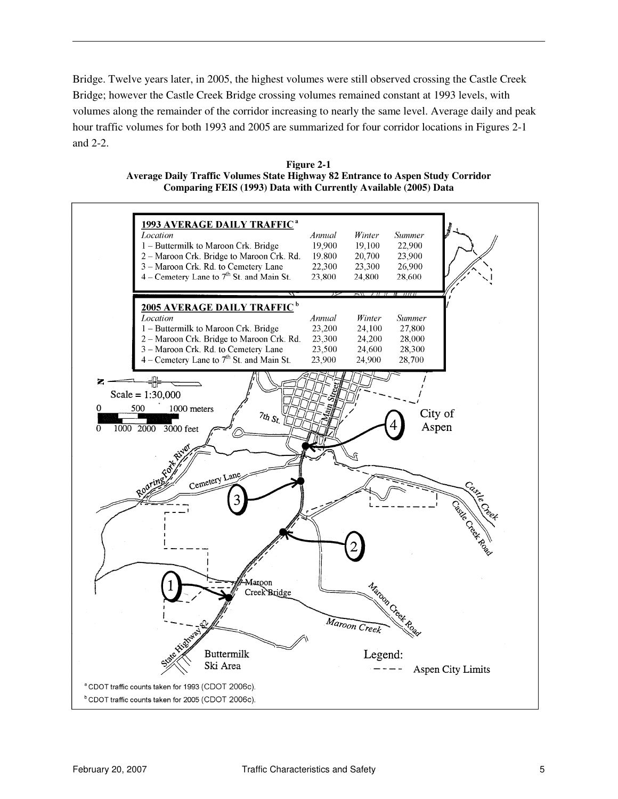Bridge. Twelve years later, in 2005, the highest volumes were still observed crossing the Castle Creek Bridge; however the Castle Creek Bridge crossing volumes remained constant at 1993 levels, with volumes along the remainder of the corridor increasing to nearly the same level. Average daily and peak hour traffic volumes for both 1993 and 2005 are summarized for four corridor locations in Figures 2-1 and 2-2.

**Figure 2-1 Average Daily Traffic Volumes State Highway 82 Entrance to Aspen Study Corridor Comparing FEIS (1993) Data with Currently Available (2005) Data** 

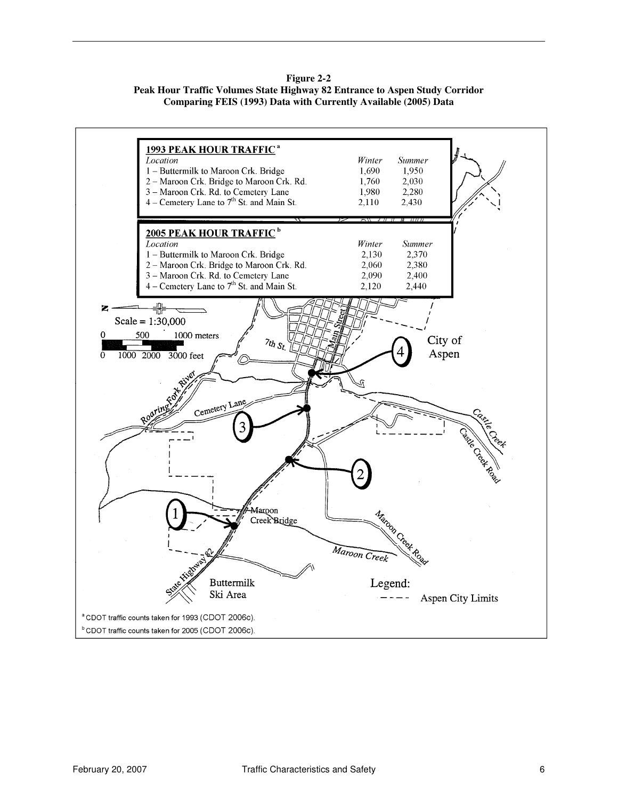**Figure 2-2 Peak Hour Traffic Volumes State Highway 82 Entrance to Aspen Study Corridor Comparing FEIS (1993) Data with Currently Available (2005) Data** 

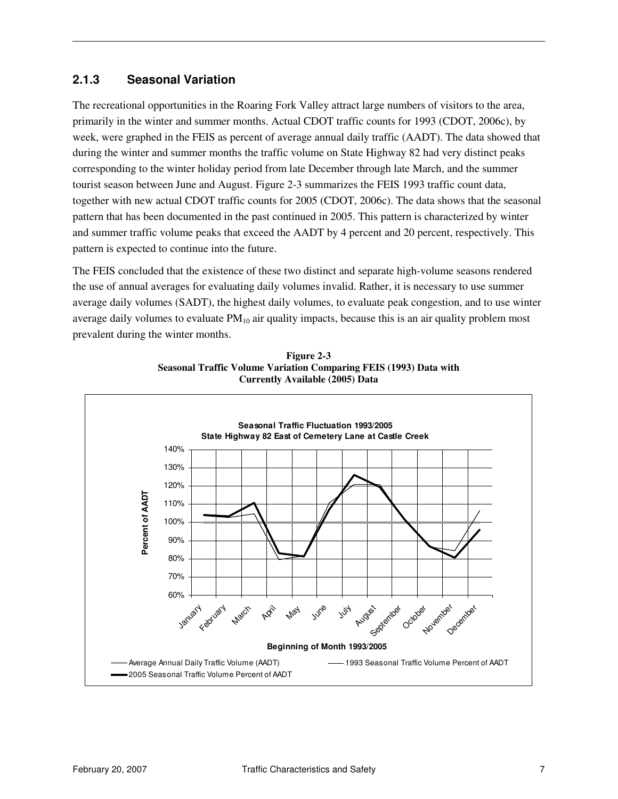#### **2.1.3 Seasonal Variation**

The recreational opportunities in the Roaring Fork Valley attract large numbers of visitors to the area, primarily in the winter and summer months. Actual CDOT traffic counts for 1993 (CDOT, 2006c), by week, were graphed in the FEIS as percent of average annual daily traffic (AADT). The data showed that during the winter and summer months the traffic volume on State Highway 82 had very distinct peaks corresponding to the winter holiday period from late December through late March, and the summer tourist season between June and August. Figure 2-3 summarizes the FEIS 1993 traffic count data, together with new actual CDOT traffic counts for 2005 (CDOT, 2006c). The data shows that the seasonal pattern that has been documented in the past continued in 2005. This pattern is characterized by winter and summer traffic volume peaks that exceed the AADT by 4 percent and 20 percent, respectively. This pattern is expected to continue into the future.

The FEIS concluded that the existence of these two distinct and separate high-volume seasons rendered the use of annual averages for evaluating daily volumes invalid. Rather, it is necessary to use summer average daily volumes (SADT), the highest daily volumes, to evaluate peak congestion, and to use winter average daily volumes to evaluate  $PM_{10}$  air quality impacts, because this is an air quality problem most prevalent during the winter months.



**Figure 2-3 Seasonal Traffic Volume Variation Comparing FEIS (1993) Data with Currently Available (2005) Data**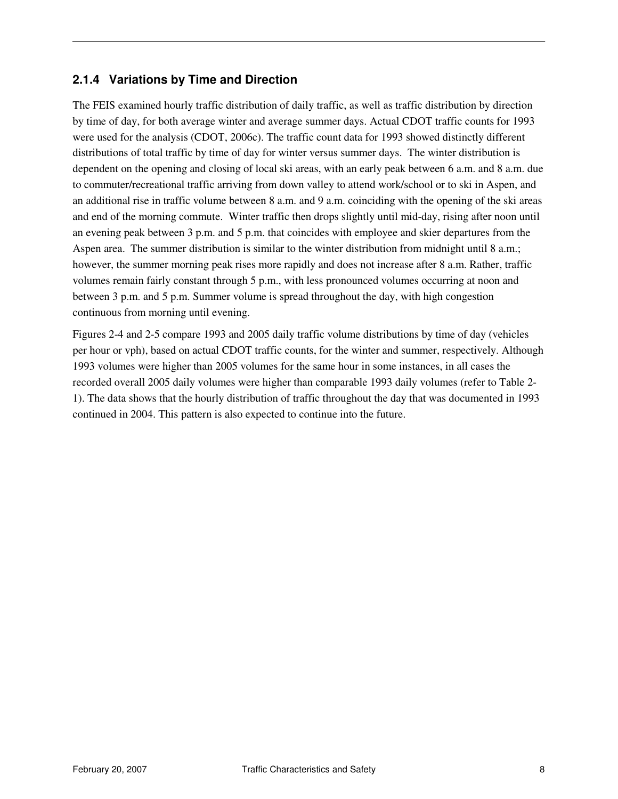#### **2.1.4 Variations by Time and Direction**

The FEIS examined hourly traffic distribution of daily traffic, as well as traffic distribution by direction by time of day, for both average winter and average summer days. Actual CDOT traffic counts for 1993 were used for the analysis (CDOT, 2006c). The traffic count data for 1993 showed distinctly different distributions of total traffic by time of day for winter versus summer days. The winter distribution is dependent on the opening and closing of local ski areas, with an early peak between 6 a.m. and 8 a.m. due to commuter/recreational traffic arriving from down valley to attend work/school or to ski in Aspen, and an additional rise in traffic volume between 8 a.m. and 9 a.m. coinciding with the opening of the ski areas and end of the morning commute. Winter traffic then drops slightly until mid-day, rising after noon until an evening peak between 3 p.m. and 5 p.m. that coincides with employee and skier departures from the Aspen area. The summer distribution is similar to the winter distribution from midnight until 8 a.m.; however, the summer morning peak rises more rapidly and does not increase after 8 a.m. Rather, traffic volumes remain fairly constant through 5 p.m., with less pronounced volumes occurring at noon and between 3 p.m. and 5 p.m. Summer volume is spread throughout the day, with high congestion continuous from morning until evening.

Figures 2-4 and 2-5 compare 1993 and 2005 daily traffic volume distributions by time of day (vehicles per hour or vph), based on actual CDOT traffic counts, for the winter and summer, respectively. Although 1993 volumes were higher than 2005 volumes for the same hour in some instances, in all cases the recorded overall 2005 daily volumes were higher than comparable 1993 daily volumes (refer to Table 2- 1). The data shows that the hourly distribution of traffic throughout the day that was documented in 1993 continued in 2004. This pattern is also expected to continue into the future.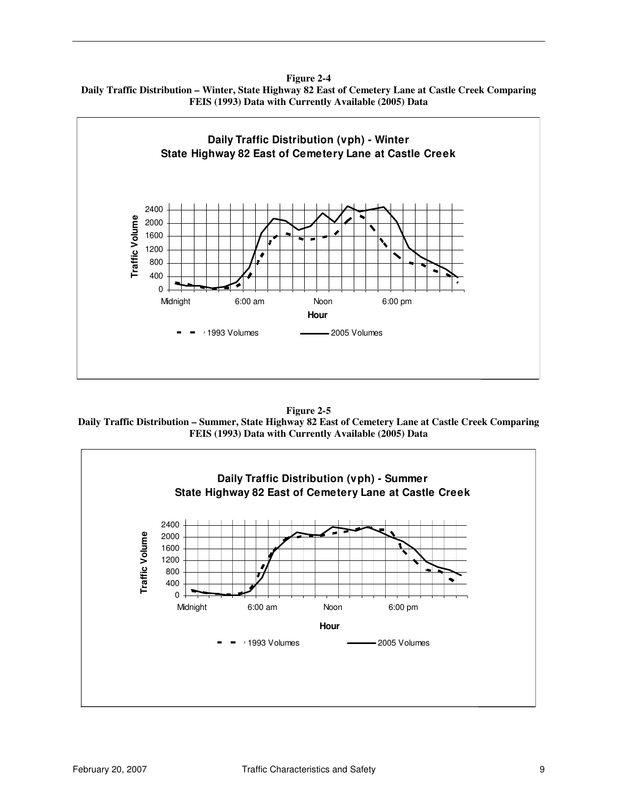**Figure 2-4 Daily Traffic Distribution – Winter, State Highway 82 East of Cemetery Lane at Castle Creek Comparing FEIS (1993) Data with Currently Available (2005) Data** 



**Figure 2-5 Daily Traffic Distribution – Summer, State Highway 82 East of Cemetery Lane at Castle Creek Comparing FEIS (1993) Data with Currently Available (2005) Data** 

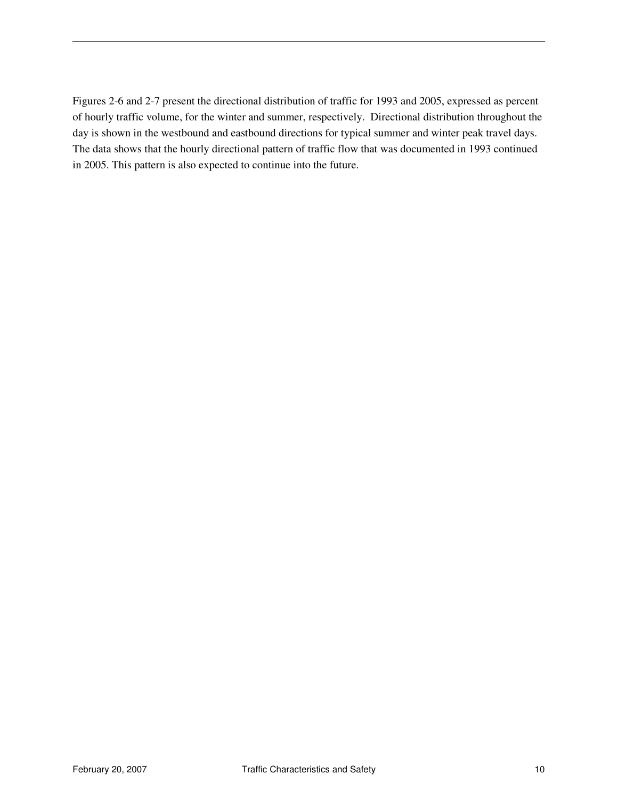Figures 2-6 and 2-7 present the directional distribution of traffic for 1993 and 2005, expressed as percent of hourly traffic volume, for the winter and summer, respectively. Directional distribution throughout the day is shown in the westbound and eastbound directions for typical summer and winter peak travel days. The data shows that the hourly directional pattern of traffic flow that was documented in 1993 continued in 2005. This pattern is also expected to continue into the future.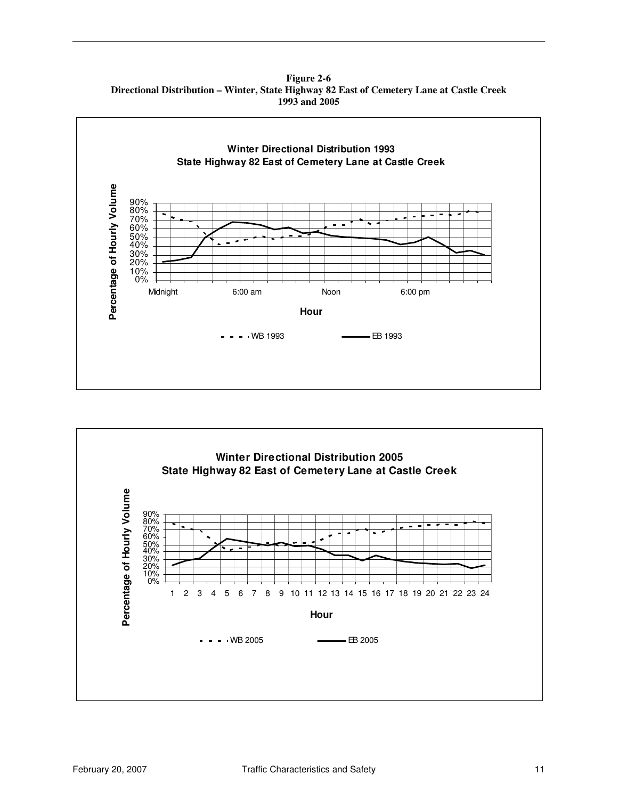**Figure 2-6 Directional Distribution – Winter, State Highway 82 East of Cemetery Lane at Castle Creek 1993 and 2005** 



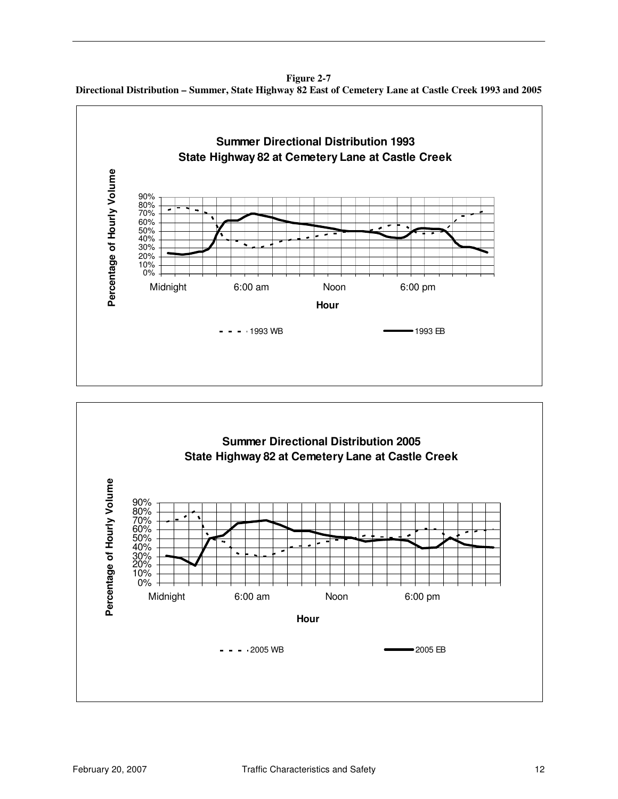**Figure 2-7 Directional Distribution – Summer, State Highway 82 East of Cemetery Lane at Castle Creek 1993 and 2005**



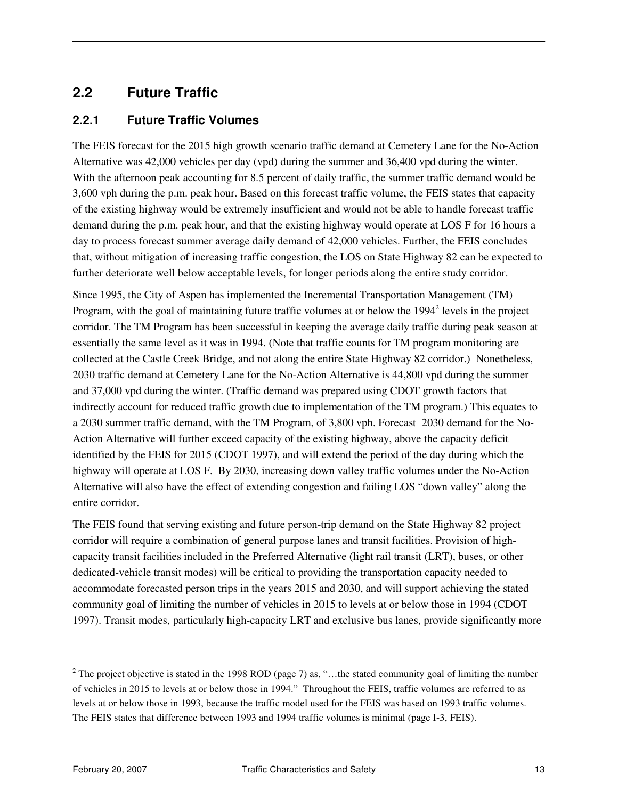### **2.2 Future Traffic**

#### **2.2.1 Future Traffic Volumes**

The FEIS forecast for the 2015 high growth scenario traffic demand at Cemetery Lane for the No-Action Alternative was 42,000 vehicles per day (vpd) during the summer and 36,400 vpd during the winter. With the afternoon peak accounting for 8.5 percent of daily traffic, the summer traffic demand would be 3,600 vph during the p.m. peak hour. Based on this forecast traffic volume, the FEIS states that capacity of the existing highway would be extremely insufficient and would not be able to handle forecast traffic demand during the p.m. peak hour, and that the existing highway would operate at LOS F for 16 hours a day to process forecast summer average daily demand of 42,000 vehicles. Further, the FEIS concludes that, without mitigation of increasing traffic congestion, the LOS on State Highway 82 can be expected to further deteriorate well below acceptable levels, for longer periods along the entire study corridor.

Since 1995, the City of Aspen has implemented the Incremental Transportation Management (TM) Program, with the goal of maintaining future traffic volumes at or below the 1994<sup>2</sup> levels in the project corridor. The TM Program has been successful in keeping the average daily traffic during peak season at essentially the same level as it was in 1994. (Note that traffic counts for TM program monitoring are collected at the Castle Creek Bridge, and not along the entire State Highway 82 corridor.) Nonetheless, 2030 traffic demand at Cemetery Lane for the No-Action Alternative is 44,800 vpd during the summer and 37,000 vpd during the winter. (Traffic demand was prepared using CDOT growth factors that indirectly account for reduced traffic growth due to implementation of the TM program.) This equates to a 2030 summer traffic demand, with the TM Program, of 3,800 vph. Forecast 2030 demand for the No-Action Alternative will further exceed capacity of the existing highway, above the capacity deficit identified by the FEIS for 2015 (CDOT 1997), and will extend the period of the day during which the highway will operate at LOS F. By 2030, increasing down valley traffic volumes under the No-Action Alternative will also have the effect of extending congestion and failing LOS "down valley" along the entire corridor.

The FEIS found that serving existing and future person-trip demand on the State Highway 82 project corridor will require a combination of general purpose lanes and transit facilities. Provision of highcapacity transit facilities included in the Preferred Alternative (light rail transit (LRT), buses, or other dedicated-vehicle transit modes) will be critical to providing the transportation capacity needed to accommodate forecasted person trips in the years 2015 and 2030, and will support achieving the stated community goal of limiting the number of vehicles in 2015 to levels at or below those in 1994 (CDOT 1997). Transit modes, particularly high-capacity LRT and exclusive bus lanes, provide significantly more

 $\ddot{\phantom{a}}$ 

<sup>&</sup>lt;sup>2</sup> The project objective is stated in the 1998 ROD (page 7) as, "...the stated community goal of limiting the number of vehicles in 2015 to levels at or below those in 1994." Throughout the FEIS, traffic volumes are referred to as levels at or below those in 1993, because the traffic model used for the FEIS was based on 1993 traffic volumes. The FEIS states that difference between 1993 and 1994 traffic volumes is minimal (page I-3, FEIS).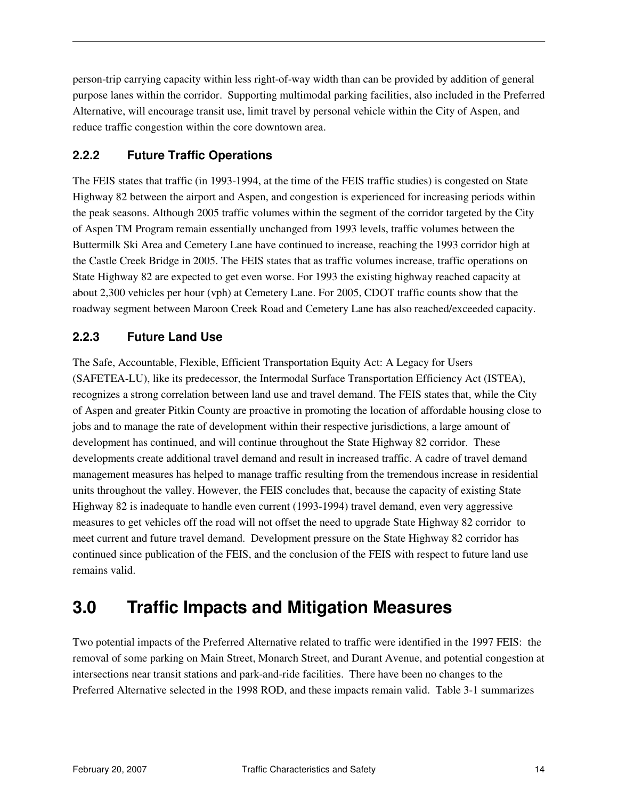person-trip carrying capacity within less right-of-way width than can be provided by addition of general purpose lanes within the corridor. Supporting multimodal parking facilities, also included in the Preferred Alternative, will encourage transit use, limit travel by personal vehicle within the City of Aspen, and reduce traffic congestion within the core downtown area.

#### **2.2.2 Future Traffic Operations**

The FEIS states that traffic (in 1993-1994, at the time of the FEIS traffic studies) is congested on State Highway 82 between the airport and Aspen, and congestion is experienced for increasing periods within the peak seasons. Although 2005 traffic volumes within the segment of the corridor targeted by the City of Aspen TM Program remain essentially unchanged from 1993 levels, traffic volumes between the Buttermilk Ski Area and Cemetery Lane have continued to increase, reaching the 1993 corridor high at the Castle Creek Bridge in 2005. The FEIS states that as traffic volumes increase, traffic operations on State Highway 82 are expected to get even worse. For 1993 the existing highway reached capacity at about 2,300 vehicles per hour (vph) at Cemetery Lane. For 2005, CDOT traffic counts show that the roadway segment between Maroon Creek Road and Cemetery Lane has also reached/exceeded capacity.

#### **2.2.3 Future Land Use**

The Safe, Accountable, Flexible, Efficient Transportation Equity Act: A Legacy for Users (SAFETEA-LU), like its predecessor, the Intermodal Surface Transportation Efficiency Act (ISTEA), recognizes a strong correlation between land use and travel demand. The FEIS states that, while the City of Aspen and greater Pitkin County are proactive in promoting the location of affordable housing close to jobs and to manage the rate of development within their respective jurisdictions, a large amount of development has continued, and will continue throughout the State Highway 82 corridor. These developments create additional travel demand and result in increased traffic. A cadre of travel demand management measures has helped to manage traffic resulting from the tremendous increase in residential units throughout the valley. However, the FEIS concludes that, because the capacity of existing State Highway 82 is inadequate to handle even current (1993-1994) travel demand, even very aggressive measures to get vehicles off the road will not offset the need to upgrade State Highway 82 corridor to meet current and future travel demand. Development pressure on the State Highway 82 corridor has continued since publication of the FEIS, and the conclusion of the FEIS with respect to future land use remains valid.

## **3.0 Traffic Impacts and Mitigation Measures**

Two potential impacts of the Preferred Alternative related to traffic were identified in the 1997 FEIS: the removal of some parking on Main Street, Monarch Street, and Durant Avenue, and potential congestion at intersections near transit stations and park-and-ride facilities. There have been no changes to the Preferred Alternative selected in the 1998 ROD, and these impacts remain valid. Table 3-1 summarizes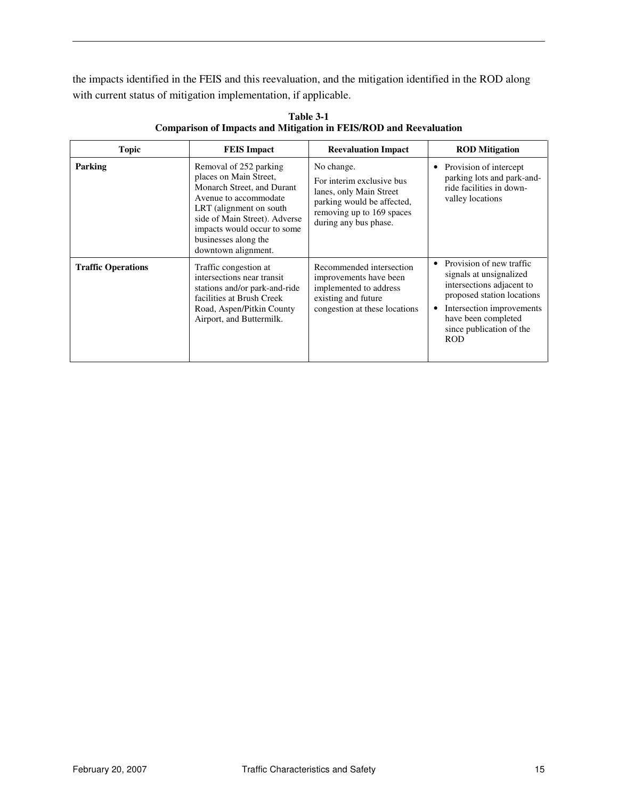the impacts identified in the FEIS and this reevaluation, and the mitigation identified in the ROD along with current status of mitigation implementation, if applicable.

| Topic                     | <b>FEIS</b> Impact                                                                                                                                                                                                                                 | <b>Reevaluation Impact</b>                                                                                                                             | <b>ROD</b> Mitigation                                                                                                                                                                                                     |
|---------------------------|----------------------------------------------------------------------------------------------------------------------------------------------------------------------------------------------------------------------------------------------------|--------------------------------------------------------------------------------------------------------------------------------------------------------|---------------------------------------------------------------------------------------------------------------------------------------------------------------------------------------------------------------------------|
| Parking                   | Removal of 252 parking<br>places on Main Street,<br>Monarch Street, and Durant<br>Avenue to accommodate<br>LRT (alignment on south)<br>side of Main Street). Adverse<br>impacts would occur to some<br>businesses along the<br>downtown alignment. | No change.<br>For interim exclusive bus<br>lanes, only Main Street<br>parking would be affected,<br>removing up to 169 spaces<br>during any bus phase. | Provision of intercept<br>$\bullet$<br>parking lots and park-and-<br>ride facilities in down-<br>valley locations                                                                                                         |
| <b>Traffic Operations</b> | Traffic congestion at<br>intersections near transit<br>stations and/or park-and-ride<br>facilities at Brush Creek<br>Road, Aspen/Pitkin County<br>Airport, and Buttermilk.                                                                         | Recommended intersection<br>improvements have been<br>implemented to address<br>existing and future<br>congestion at these locations                   | Provision of new traffic<br>$\bullet$<br>signals at unsignalized<br>intersections adjacent to<br>proposed station locations<br>Intersection improvements<br>have been completed<br>since publication of the<br><b>ROD</b> |

**Table 3-1 Comparison of Impacts and Mitigation in FEIS/ROD and Reevaluation**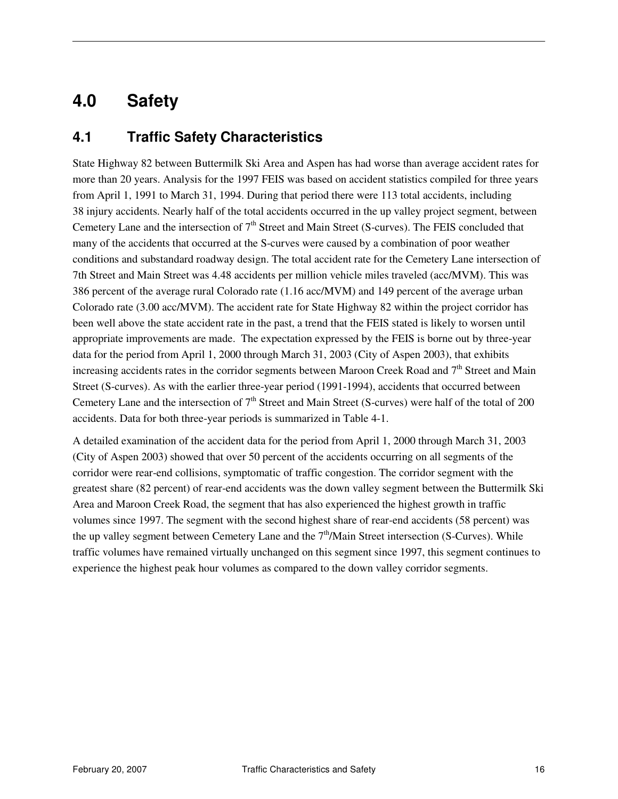## **4.0 Safety**

### **4.1 Traffic Safety Characteristics**

State Highway 82 between Buttermilk Ski Area and Aspen has had worse than average accident rates for more than 20 years. Analysis for the 1997 FEIS was based on accident statistics compiled for three years from April 1, 1991 to March 31, 1994. During that period there were 113 total accidents, including 38 injury accidents. Nearly half of the total accidents occurred in the up valley project segment, between Cemetery Lane and the intersection of 7<sup>th</sup> Street and Main Street (S-curves). The FEIS concluded that many of the accidents that occurred at the S-curves were caused by a combination of poor weather conditions and substandard roadway design. The total accident rate for the Cemetery Lane intersection of 7th Street and Main Street was 4.48 accidents per million vehicle miles traveled (acc/MVM). This was 386 percent of the average rural Colorado rate (1.16 acc/MVM) and 149 percent of the average urban Colorado rate (3.00 acc/MVM). The accident rate for State Highway 82 within the project corridor has been well above the state accident rate in the past, a trend that the FEIS stated is likely to worsen until appropriate improvements are made. The expectation expressed by the FEIS is borne out by three-year data for the period from April 1, 2000 through March 31, 2003 (City of Aspen 2003), that exhibits increasing accidents rates in the corridor segments between Maroon Creek Road and  $7<sup>th</sup>$  Street and Main Street (S-curves). As with the earlier three-year period (1991-1994), accidents that occurred between Cemetery Lane and the intersection of  $7<sup>th</sup>$  Street and Main Street (S-curves) were half of the total of 200 accidents. Data for both three-year periods is summarized in Table 4-1.

A detailed examination of the accident data for the period from April 1, 2000 through March 31, 2003 (City of Aspen 2003) showed that over 50 percent of the accidents occurring on all segments of the corridor were rear-end collisions, symptomatic of traffic congestion. The corridor segment with the greatest share (82 percent) of rear-end accidents was the down valley segment between the Buttermilk Ski Area and Maroon Creek Road, the segment that has also experienced the highest growth in traffic volumes since 1997. The segment with the second highest share of rear-end accidents (58 percent) was the up valley segment between Cemetery Lane and the  $7<sup>th</sup>/Main$  Street intersection (S-Curves). While traffic volumes have remained virtually unchanged on this segment since 1997, this segment continues to experience the highest peak hour volumes as compared to the down valley corridor segments.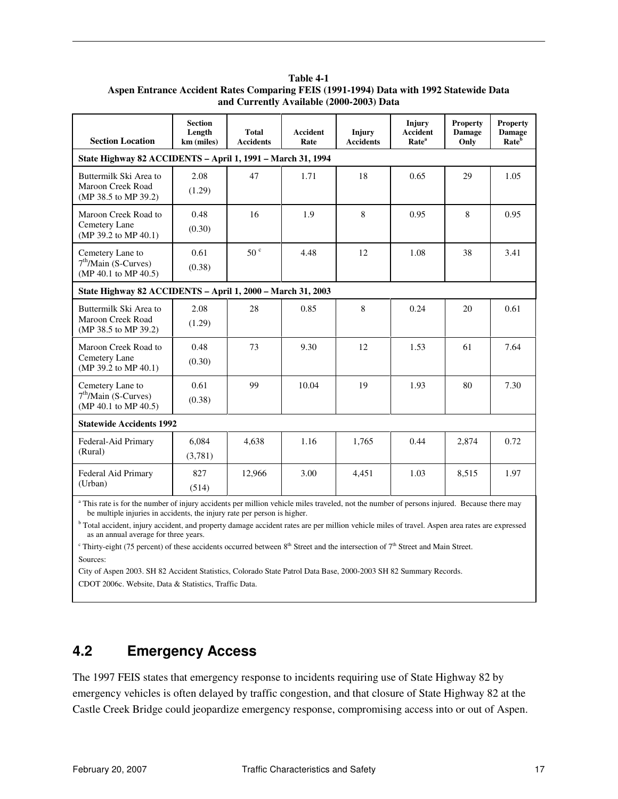| <b>Section Location</b>                                             | <b>Section</b><br>Length<br>km (miles) | <b>Total</b><br><b>Accidents</b> | <b>Accident</b><br>Rate | <b>Injury</b><br><b>Accidents</b> | Injury<br><b>Accident</b><br>Rate <sup>a</sup> | <b>Property</b><br>Damage<br>Only | <b>Property</b><br><b>Damage</b><br>Rate <sup>b</sup> |
|---------------------------------------------------------------------|----------------------------------------|----------------------------------|-------------------------|-----------------------------------|------------------------------------------------|-----------------------------------|-------------------------------------------------------|
| State Highway 82 ACCIDENTS - April 1, 1991 - March 31, 1994         |                                        |                                  |                         |                                   |                                                |                                   |                                                       |
| Buttermilk Ski Area to<br>Maroon Creek Road<br>(MP 38.5 to MP 39.2) | 2.08<br>(1.29)                         | 47                               | 1.71                    | 18                                | 0.65                                           | 29                                | 1.05                                                  |
| Maroon Creek Road to<br>Cemetery Lane<br>(MP 39.2 to MP 40.1)       | 0.48<br>(0.30)                         | 16                               | 1.9                     | 8                                 | 0.95                                           | 8                                 | 0.95                                                  |
| Cemetery Lane to<br>$7th/Main$ (S-Curves)<br>(MP 40.1 to MP 40.5)   | 0.61<br>(0.38)                         | 50 <sup>c</sup>                  | 4.48                    | 12                                | 1.08                                           | 38                                | 3.41                                                  |
| State Highway 82 ACCIDENTS - April 1, 2000 - March 31, 2003         |                                        |                                  |                         |                                   |                                                |                                   |                                                       |
| Buttermilk Ski Area to<br>Maroon Creek Road<br>(MP 38.5 to MP 39.2) | 2.08<br>(1.29)                         | 28                               | 0.85                    | 8                                 | 0.24                                           | 20                                | 0.61                                                  |
| Maroon Creek Road to<br>Cemetery Lane<br>(MP 39.2 to MP 40.1)       | 0.48<br>(0.30)                         | 73                               | 9.30                    | 12                                | 1.53                                           | 61                                | 7.64                                                  |
| Cemetery Lane to<br>$7th/Main$ (S-Curves)<br>(MP 40.1 to MP 40.5)   | 0.61<br>(0.38)                         | 99                               | 10.04                   | 19                                | 1.93                                           | 80                                | 7.30                                                  |
| <b>Statewide Accidents 1992</b>                                     |                                        |                                  |                         |                                   |                                                |                                   |                                                       |
| Federal-Aid Primary<br>(Rural)                                      | 6.084<br>(3,781)                       | 4.638                            | 1.16                    | 1,765                             | 0.44                                           | 2,874                             | 0.72                                                  |
| Federal Aid Primary<br>(Urban)                                      | 827<br>(514)                           | 12,966                           | 3.00                    | 4,451                             | 1.03                                           | 8,515                             | 1.97                                                  |

**Table 4-1 Aspen Entrance Accident Rates Comparing FEIS (1991-1994) Data with 1992 Statewide Data and Currently Available (2000-2003) Data** 

<sup>a</sup> This rate is for the number of injury accidents per million vehicle miles traveled, not the number of persons injured. Because there may be multiple injuries in accidents, the injury rate per person is higher.

<sup>b</sup> Total accident, injury accident, and property damage accident rates are per million vehicle miles of travel. Aspen area rates are expressed as an annual average for three years.

Thirty-eight (75 percent) of these accidents occurred between  $8<sup>th</sup>$  Street and the intersection of  $7<sup>th</sup>$  Street and Main Street. Sources:

City of Aspen 2003. SH 82 Accident Statistics, Colorado State Patrol Data Base, 2000-2003 SH 82 Summary Records.

CDOT 2006c. Website, Data & Statistics, Traffic Data.

### **4.2 Emergency Access**

The 1997 FEIS states that emergency response to incidents requiring use of State Highway 82 by emergency vehicles is often delayed by traffic congestion, and that closure of State Highway 82 at the Castle Creek Bridge could jeopardize emergency response, compromising access into or out of Aspen.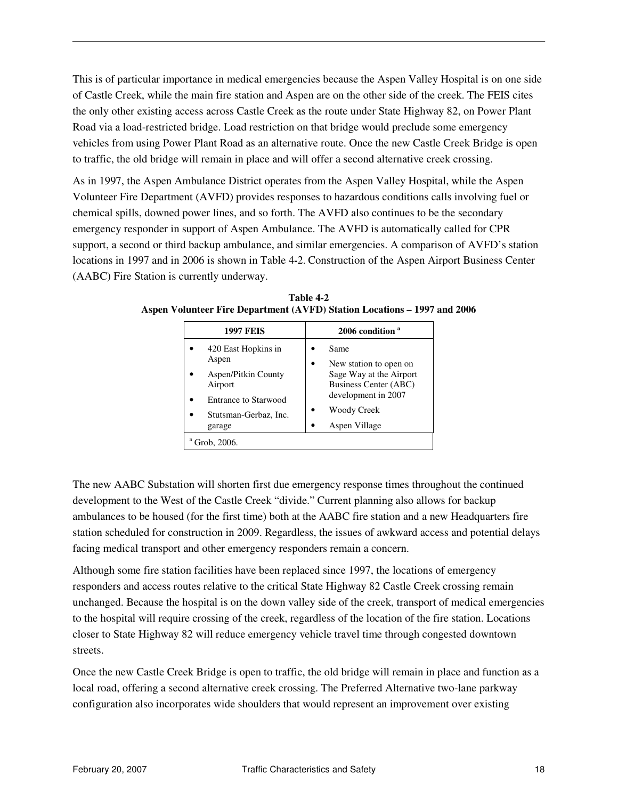This is of particular importance in medical emergencies because the Aspen Valley Hospital is on one side of Castle Creek, while the main fire station and Aspen are on the other side of the creek. The FEIS cites the only other existing access across Castle Creek as the route under State Highway 82, on Power Plant Road via a load-restricted bridge. Load restriction on that bridge would preclude some emergency vehicles from using Power Plant Road as an alternative route. Once the new Castle Creek Bridge is open to traffic, the old bridge will remain in place and will offer a second alternative creek crossing.

As in 1997, the Aspen Ambulance District operates from the Aspen Valley Hospital, while the Aspen Volunteer Fire Department (AVFD) provides responses to hazardous conditions calls involving fuel or chemical spills, downed power lines, and so forth. The AVFD also continues to be the secondary emergency responder in support of Aspen Ambulance. The AVFD is automatically called for CPR support, a second or third backup ambulance, and similar emergencies. A comparison of AVFD's station locations in 1997 and in 2006 is shown in Table 4**-**2. Construction of the Aspen Airport Business Center (AABC) Fire Station is currently underway.

| <b>1997 FEIS</b>            | 2006 condition <sup>a</sup>         |  |  |  |
|-----------------------------|-------------------------------------|--|--|--|
| 420 East Hopkins in         | Same                                |  |  |  |
| Aspen                       | New station to open on<br>$\bullet$ |  |  |  |
| Aspen/Pitkin County         | Sage Way at the Airport             |  |  |  |
| Airport                     | Business Center (ABC)               |  |  |  |
| <b>Entrance to Starwood</b> | development in 2007                 |  |  |  |
| Stutsman-Gerbaz, Inc.       | Woody Creek                         |  |  |  |
| garage                      | Aspen Village                       |  |  |  |
| Grob, 2006.                 |                                     |  |  |  |

**Table 4-2 Aspen Volunteer Fire Department (AVFD) Station Locations – 1997 and 2006** 

The new AABC Substation will shorten first due emergency response times throughout the continued development to the West of the Castle Creek "divide." Current planning also allows for backup ambulances to be housed (for the first time) both at the AABC fire station and a new Headquarters fire station scheduled for construction in 2009. Regardless, the issues of awkward access and potential delays facing medical transport and other emergency responders remain a concern.

Although some fire station facilities have been replaced since 1997, the locations of emergency responders and access routes relative to the critical State Highway 82 Castle Creek crossing remain unchanged. Because the hospital is on the down valley side of the creek, transport of medical emergencies to the hospital will require crossing of the creek, regardless of the location of the fire station. Locations closer to State Highway 82 will reduce emergency vehicle travel time through congested downtown streets.

Once the new Castle Creek Bridge is open to traffic, the old bridge will remain in place and function as a local road, offering a second alternative creek crossing. The Preferred Alternative two-lane parkway configuration also incorporates wide shoulders that would represent an improvement over existing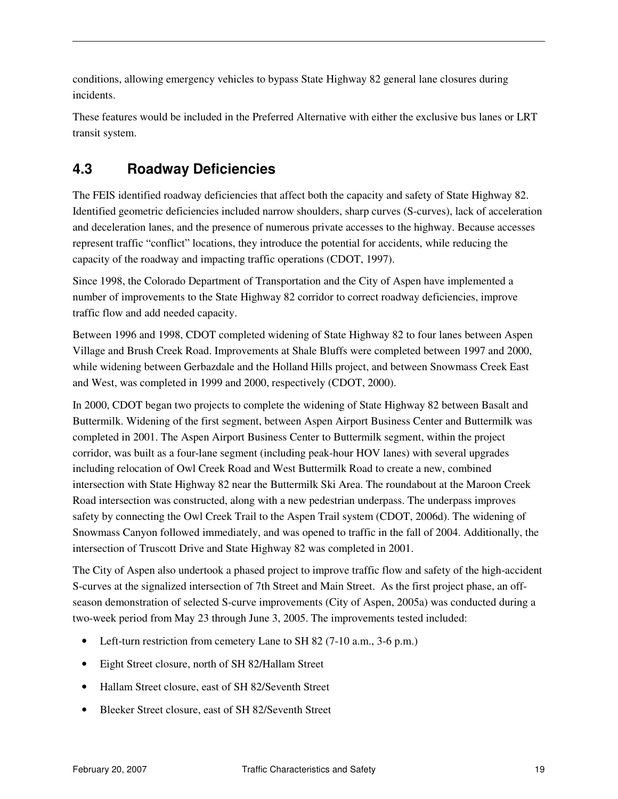conditions, allowing emergency vehicles to bypass State Highway 82 general lane closures during incidents.

These features would be included in the Preferred Alternative with either the exclusive bus lanes or LRT transit system.

### **4.3 Roadway Deficiencies**

The FEIS identified roadway deficiencies that affect both the capacity and safety of State Highway 82. Identified geometric deficiencies included narrow shoulders, sharp curves (S-curves), lack of acceleration and deceleration lanes, and the presence of numerous private accesses to the highway. Because accesses represent traffic "conflict" locations, they introduce the potential for accidents, while reducing the capacity of the roadway and impacting traffic operations (CDOT, 1997).

Since 1998, the Colorado Department of Transportation and the City of Aspen have implemented a number of improvements to the State Highway 82 corridor to correct roadway deficiencies, improve traffic flow and add needed capacity.

Between 1996 and 1998, CDOT completed widening of State Highway 82 to four lanes between Aspen Village and Brush Creek Road. Improvements at Shale Bluffs were completed between 1997 and 2000, while widening between Gerbazdale and the Holland Hills project, and between Snowmass Creek East and West, was completed in 1999 and 2000, respectively (CDOT, 2000).

In 2000, CDOT began two projects to complete the widening of State Highway 82 between Basalt and Buttermilk. Widening of the first segment, between Aspen Airport Business Center and Buttermilk was completed in 2001. The Aspen Airport Business Center to Buttermilk segment, within the project corridor, was built as a four-lane segment (including peak-hour HOV lanes) with several upgrades including relocation of Owl Creek Road and West Buttermilk Road to create a new, combined intersection with State Highway 82 near the Buttermilk Ski Area. The roundabout at the Maroon Creek Road intersection was constructed, along with a new pedestrian underpass. The underpass improves safety by connecting the Owl Creek Trail to the Aspen Trail system (CDOT, 2006d). The widening of Snowmass Canyon followed immediately, and was opened to traffic in the fall of 2004. Additionally, the intersection of Truscott Drive and State Highway 82 was completed in 2001.

The City of Aspen also undertook a phased project to improve traffic flow and safety of the high-accident S-curves at the signalized intersection of 7th Street and Main Street. As the first project phase, an offseason demonstration of selected S-curve improvements (City of Aspen, 2005a) was conducted during a two-week period from May 23 through June 3, 2005. The improvements tested included:

- Left-turn restriction from cemetery Lane to SH 82 (7-10 a.m., 3-6 p.m.)
- Eight Street closure, north of SH 82/Hallam Street
- Hallam Street closure, east of SH 82/Seventh Street
- Bleeker Street closure, east of SH 82/Seventh Street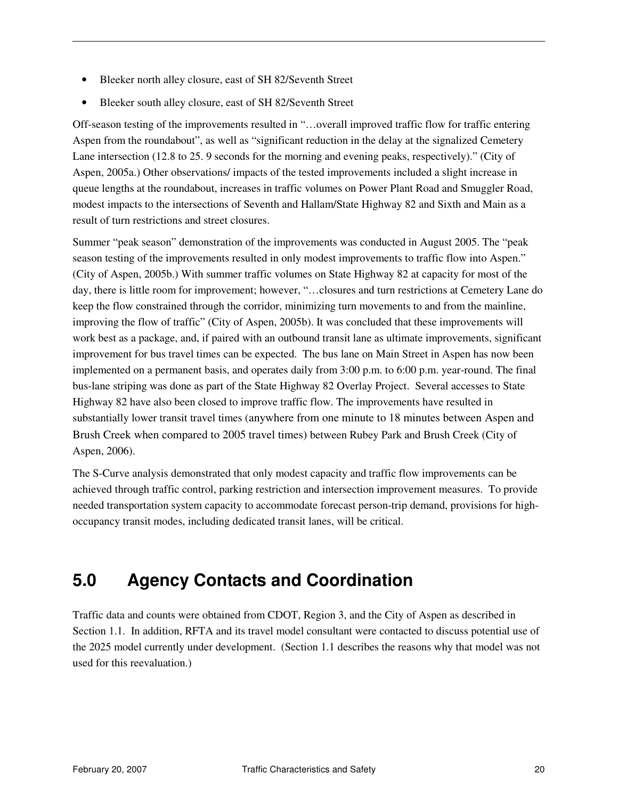- Bleeker north alley closure, east of SH 82/Seventh Street
- Bleeker south alley closure, east of SH 82/Seventh Street

Off-season testing of the improvements resulted in "…overall improved traffic flow for traffic entering Aspen from the roundabout", as well as "significant reduction in the delay at the signalized Cemetery Lane intersection (12.8 to 25. 9 seconds for the morning and evening peaks, respectively)." (City of Aspen, 2005a.) Other observations/ impacts of the tested improvements included a slight increase in queue lengths at the roundabout, increases in traffic volumes on Power Plant Road and Smuggler Road, modest impacts to the intersections of Seventh and Hallam/State Highway 82 and Sixth and Main as a result of turn restrictions and street closures.

Summer "peak season" demonstration of the improvements was conducted in August 2005. The "peak season testing of the improvements resulted in only modest improvements to traffic flow into Aspen." (City of Aspen, 2005b.) With summer traffic volumes on State Highway 82 at capacity for most of the day, there is little room for improvement; however, "…closures and turn restrictions at Cemetery Lane do keep the flow constrained through the corridor, minimizing turn movements to and from the mainline, improving the flow of traffic" (City of Aspen, 2005b). It was concluded that these improvements will work best as a package, and, if paired with an outbound transit lane as ultimate improvements, significant improvement for bus travel times can be expected. The bus lane on Main Street in Aspen has now been implemented on a permanent basis, and operates daily from 3:00 p.m. to 6:00 p.m. year-round. The final bus-lane striping was done as part of the State Highway 82 Overlay Project. Several accesses to State Highway 82 have also been closed to improve traffic flow. The improvements have resulted in substantially lower transit travel times (anywhere from one minute to 18 minutes between Aspen and Brush Creek when compared to 2005 travel times) between Rubey Park and Brush Creek (City of Aspen, 2006).

The S-Curve analysis demonstrated that only modest capacity and traffic flow improvements can be achieved through traffic control, parking restriction and intersection improvement measures. To provide needed transportation system capacity to accommodate forecast person-trip demand, provisions for highoccupancy transit modes, including dedicated transit lanes, will be critical.

## **5.0 Agency Contacts and Coordination**

Traffic data and counts were obtained from CDOT, Region 3, and the City of Aspen as described in Section 1.1. In addition, RFTA and its travel model consultant were contacted to discuss potential use of the 2025 model currently under development. (Section 1.1 describes the reasons why that model was not used for this reevaluation.)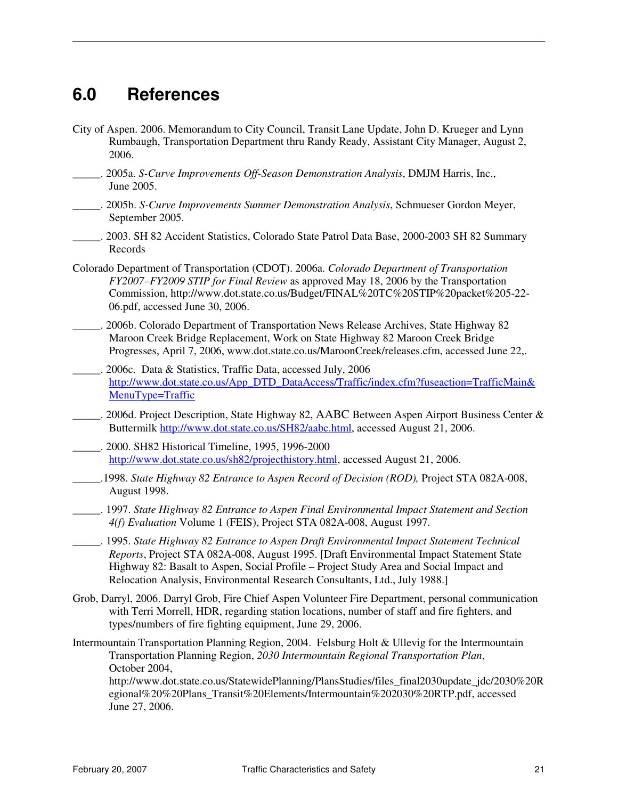## **6.0 References**

- City of Aspen. 2006. Memorandum to City Council, Transit Lane Update, John D. Krueger and Lynn Rumbaugh, Transportation Department thru Randy Ready, Assistant City Manager, August 2, 2006.
- \_\_\_\_\_. 2005a. *S-Curve Improvements Off-Season Demonstration Analysis*, DMJM Harris, Inc., June 2005.
- \_\_\_\_\_. 2005b. *S-Curve Improvements Summer Demonstration Analysis*, Schmueser Gordon Meyer, September 2005.
- \_\_\_\_\_. 2003. SH 82 Accident Statistics, Colorado State Patrol Data Base, 2000-2003 SH 82 Summary Records
- Colorado Department of Transportation (CDOT). 2006a. *Colorado Department of Transportation FY2007–FY2009 STIP for Final Review* as approved May 18, 2006 by the Transportation Commission, http://www.dot.state.co.us/Budget/FINAL%20TC%20STIP%20packet%205-22- 06.pdf, accessed June 30, 2006.
- \_\_\_\_\_. 2006b. Colorado Department of Transportation News Release Archives, State Highway 82 Maroon Creek Bridge Replacement, Work on State Highway 82 Maroon Creek Bridge Progresses, April 7, 2006, www.dot.state.co.us/MaroonCreek/releases.cfm, accessed June 22,.
- \_\_\_\_\_. 2006c. Data & Statistics, Traffic Data, accessed July, 2006 http://www.dot.state.co.us/App\_DTD\_DataAccess/Traffic/index.cfm?fuseaction=TrafficMain& MenuType=Traffic
- . 2006d. Project Description, State Highway 82, AABC Between Aspen Airport Business Center  $\&$ Buttermilk http://www.dot.state.co.us/SH82/aabc.html, accessed August 21, 2006.
- \_\_\_\_\_. 2000. SH82 Historical Timeline, 1995, 1996-2000 http://www.dot.state.co.us/sh82/projecthistory.html, accessed August 21, 2006.
- \_\_\_\_\_.1998. *State Highway 82 Entrance to Aspen Record of Decision (ROD),* Project STA 082A-008, August 1998.
- \_\_\_\_\_. 1997. *State Highway 82 Entrance to Aspen Final Environmental Impact Statement and Section 4(f) Evaluation* Volume 1 (FEIS), Project STA 082A-008, August 1997.
- \_\_\_\_\_. 1995. *State Highway 82 Entrance to Aspen Draft Environmental Impact Statement Technical Reports*, Project STA 082A-008, August 1995. [Draft Environmental Impact Statement State Highway 82: Basalt to Aspen, Social Profile – Project Study Area and Social Impact and Relocation Analysis, Environmental Research Consultants, Ltd., July 1988.]
- Grob, Darryl, 2006. Darryl Grob, Fire Chief Aspen Volunteer Fire Department, personal communication with Terri Morrell, HDR, regarding station locations, number of staff and fire fighters, and types/numbers of fire fighting equipment, June 29, 2006.
- Intermountain Transportation Planning Region, 2004. Felsburg Holt & Ullevig for the Intermountain Transportation Planning Region, *2030 Intermountain Regional Transportation Plan*, October 2004,

http://www.dot.state.co.us/StatewidePlanning/PlansStudies/files\_final2030update\_jdc/2030%20R egional%20%20Plans\_Transit%20Elements/Intermountain%202030%20RTP.pdf, accessed June 27, 2006.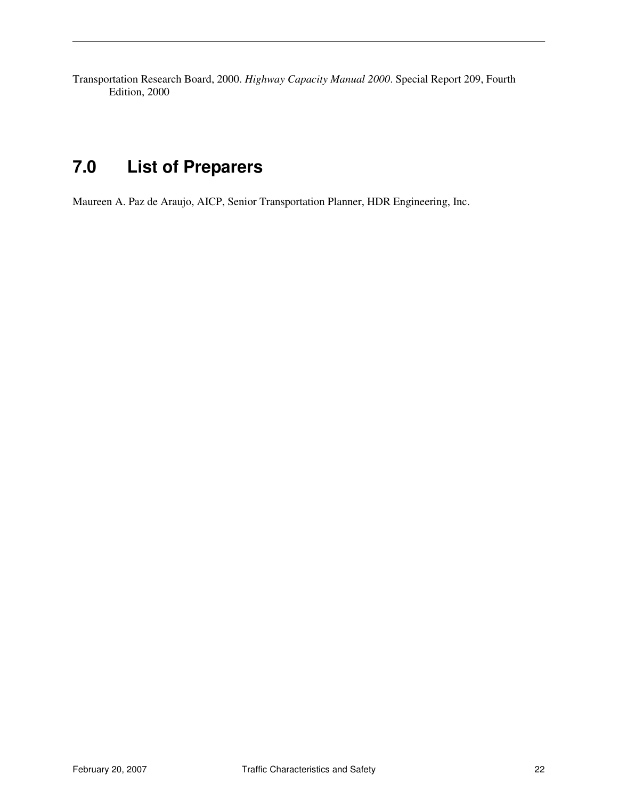Transportation Research Board, 2000. *Highway Capacity Manual 2000*. Special Report 209, Fourth Edition, 2000

## **7.0 List of Preparers**

Maureen A. Paz de Araujo, AICP, Senior Transportation Planner, HDR Engineering, Inc.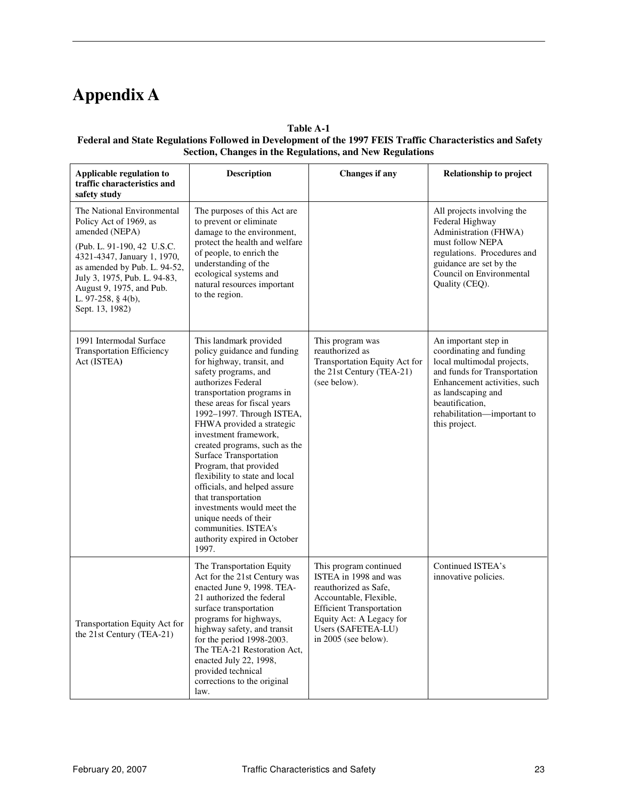## **Appendix A**

#### **Table A-1**

#### **Federal and State Regulations Followed in Development of the 1997 FEIS Traffic Characteristics and Safety Section, Changes in the Regulations, and New Regulations**

| Applicable regulation to<br>traffic characteristics and<br>safety study                                                                                                                                                                                                  | <b>Description</b>                                                                                                                                                                                                                                                                                                                                                                                                                                                                                                                                                                      | <b>Changes</b> if any                                                                                                                                                                                           | <b>Relationship to project</b>                                                                                                                                                                                                          |
|--------------------------------------------------------------------------------------------------------------------------------------------------------------------------------------------------------------------------------------------------------------------------|-----------------------------------------------------------------------------------------------------------------------------------------------------------------------------------------------------------------------------------------------------------------------------------------------------------------------------------------------------------------------------------------------------------------------------------------------------------------------------------------------------------------------------------------------------------------------------------------|-----------------------------------------------------------------------------------------------------------------------------------------------------------------------------------------------------------------|-----------------------------------------------------------------------------------------------------------------------------------------------------------------------------------------------------------------------------------------|
| The National Environmental<br>Policy Act of 1969, as<br>amended (NEPA)<br>(Pub. L. 91-190, 42 U.S.C.<br>4321-4347, January 1, 1970,<br>as amended by Pub. L. 94-52,<br>July 3, 1975, Pub. L. 94-83,<br>August 9, 1975, and Pub.<br>L. 97-258, § 4(b),<br>Sept. 13, 1982) | The purposes of this Act are<br>to prevent or eliminate<br>damage to the environment,<br>protect the health and welfare<br>of people, to enrich the<br>understanding of the<br>ecological systems and<br>natural resources important<br>to the region.                                                                                                                                                                                                                                                                                                                                  |                                                                                                                                                                                                                 | All projects involving the<br>Federal Highway<br>Administration (FHWA)<br>must follow NEPA<br>regulations. Procedures and<br>guidance are set by the<br>Council on Environmental<br>Quality (CEQ).                                      |
| 1991 Intermodal Surface<br><b>Transportation Efficiency</b><br>Act (ISTEA)                                                                                                                                                                                               | This landmark provided<br>policy guidance and funding<br>for highway, transit, and<br>safety programs, and<br>authorizes Federal<br>transportation programs in<br>these areas for fiscal years<br>1992-1997. Through ISTEA,<br>FHWA provided a strategic<br>investment framework,<br>created programs, such as the<br>Surface Transportation<br>Program, that provided<br>flexibility to state and local<br>officials, and helped assure<br>that transportation<br>investments would meet the<br>unique needs of their<br>communities. ISTEA's<br>authority expired in October<br>1997. | This program was<br>reauthorized as<br>Transportation Equity Act for<br>the 21st Century (TEA-21)<br>(see below).                                                                                               | An important step in<br>coordinating and funding<br>local multimodal projects,<br>and funds for Transportation<br>Enhancement activities, such<br>as landscaping and<br>beautification,<br>rehabilitation-important to<br>this project. |
| Transportation Equity Act for<br>the 21st Century (TEA-21)                                                                                                                                                                                                               | The Transportation Equity<br>Act for the 21st Century was<br>enacted June 9, 1998. TEA-<br>21 authorized the federal<br>surface transportation<br>programs for highways,<br>highway safety, and transit<br>for the period 1998-2003.<br>The TEA-21 Restoration Act,<br>enacted July 22, 1998,<br>provided technical<br>corrections to the original<br>law.                                                                                                                                                                                                                              | This program continued<br>ISTEA in 1998 and was<br>reauthorized as Safe,<br>Accountable, Flexible,<br><b>Efficient Transportation</b><br>Equity Act: A Legacy for<br>Users (SAFETEA-LU)<br>in 2005 (see below). | Continued ISTEA's<br>innovative policies.                                                                                                                                                                                               |